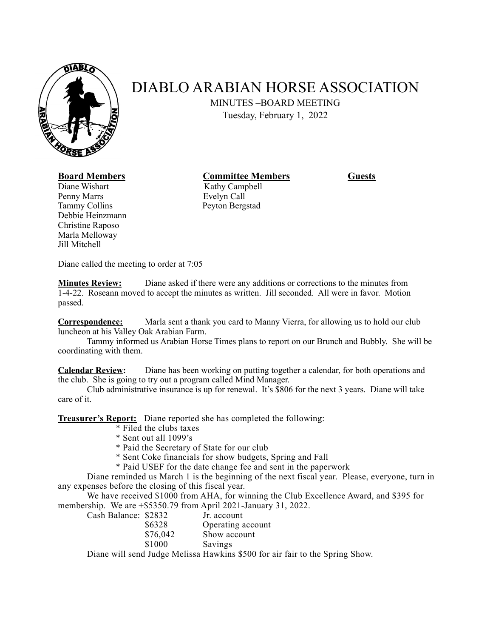

## DIABLO ARABIAN HORSE ASSOCIATION

MINUTES –BOARD MEETING

Tuesday, February 1, 2022

## **Board Members Committee Members Guests**

Diane Wishart Kathy Campbell Penny Marrs Evelyn Call Tammy Collins Peyton Bergstad Debbie Heinzmann Christine Raposo Marla Melloway Jill Mitchell

Diane called the meeting to order at 7:05

**Minutes Review:** Diane asked if there were any additions or corrections to the minutes from 1-4-22. Roseann moved to accept the minutes as written. Jill seconded. All were in favor. Motion passed.

**Correspondence:** Marla sent a thank you card to Manny Vierra, for allowing us to hold our club luncheon at his Valley Oak Arabian Farm.

Tammy informed us Arabian Horse Times plans to report on our Brunch and Bubbly. She will be coordinating with them.

**Calendar Review:** Diane has been working on putting together a calendar, for both operations and the club. She is going to try out a program called Mind Manager.

Club administrative insurance is up for renewal. It's \$806 for the next 3 years. Diane will take care of it.

**Treasurer's Report:** Diane reported she has completed the following:

- \* Filed the clubs taxes
- \* Sent out all 1099's
- \* Paid the Secretary of State for our club
- \* Sent Coke financials for show budgets, Spring and Fall
- \* Paid USEF for the date change fee and sent in the paperwork

Diane reminded us March 1 is the beginning of the next fiscal year. Please, everyone, turn in any expenses before the closing of this fiscal year.

We have received \$1000 from AHA, for winning the Club Excellence Award, and \$395 for membership. We are +\$5350.79 from April 2021-January 31, 2022.

| Cash Balance: \$2832 |          | Jr. account       |
|----------------------|----------|-------------------|
|                      | \$6328   | Operating account |
|                      | \$76,042 | Show account      |
|                      | \$1000   | Savings           |

Diane will send Judge Melissa Hawkins \$500 for air fair to the Spring Show.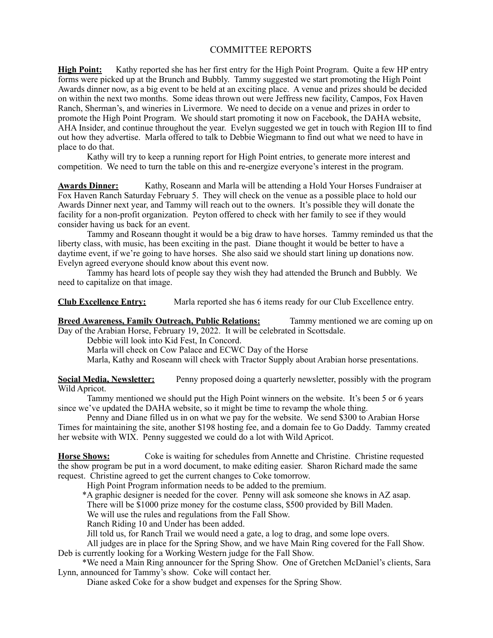## COMMITTEE REPORTS

**High Point:** Kathy reported she has her first entry for the High Point Program. Quite a few HP entry forms were picked up at the Brunch and Bubbly. Tammy suggested we start promoting the High Point Awards dinner now, as a big event to be held at an exciting place. A venue and prizes should be decided on within the next two months. Some ideas thrown out were Jeffress new facility, Campos, Fox Haven Ranch, Sherman's, and wineries in Livermore. We need to decide on a venue and prizes in order to promote the High Point Program. We should start promoting it now on Facebook, the DAHA website, AHA Insider, and continue throughout the year. Evelyn suggested we get in touch with Region III to find out how they advertise. Marla offered to talk to Debbie Wiegmann to find out what we need to have in place to do that.

Kathy will try to keep a running report for High Point entries, to generate more interest and competition. We need to turn the table on this and re-energize everyone's interest in the program.

**Awards Dinner:** Kathy, Roseann and Marla will be attending a Hold Your Horses Fundraiser at Fox Haven Ranch Saturday February 5. They will check on the venue as a possible place to hold our Awards Dinner next year, and Tammy will reach out to the owners. It's possible they will donate the facility for a non-profit organization. Peyton offered to check with her family to see if they would consider having us back for an event.

Tammy and Roseann thought it would be a big draw to have horses. Tammy reminded us that the liberty class, with music, has been exciting in the past. Diane thought it would be better to have a daytime event, if we're going to have horses. She also said we should start lining up donations now. Evelyn agreed everyone should know about this event now.

Tammy has heard lots of people say they wish they had attended the Brunch and Bubbly. We need to capitalize on that image.

**Club Excellence Entry:** Marla reported she has 6 items ready for our Club Excellence entry.

**Breed Awareness, Family Outreach, Public Relations:** Tammy mentioned we are coming up on Day of the Arabian Horse, February 19, 2022. It will be celebrated in Scottsdale.

Debbie will look into Kid Fest, In Concord.

Marla will check on Cow Palace and ECWC Day of the Horse

Marla, Kathy and Roseann will check with Tractor Supply about Arabian horse presentations.

**Social Media, Newsletter:** Penny proposed doing a quarterly newsletter, possibly with the program Wild Apricot.

Tammy mentioned we should put the High Point winners on the website. It's been 5 or 6 years since we've updated the DAHA website, so it might be time to revamp the whole thing.

Penny and Diane filled us in on what we pay for the website. We send \$300 to Arabian Horse Times for maintaining the site, another \$198 hosting fee, and a domain fee to Go Daddy. Tammy created her website with WIX. Penny suggested we could do a lot with Wild Apricot.

**Horse Shows:** Coke is waiting for schedules from Annette and Christine. Christine requested the show program be put in a word document, to make editing easier. Sharon Richard made the same request. Christine agreed to get the current changes to Coke tomorrow.

High Point Program information needs to be added to the premium.

\*A graphic designer is needed for the cover. Penny will ask someone she knows in AZ asap.

There will be \$1000 prize money for the costume class, \$500 provided by Bill Maden.

We will use the rules and regulations from the Fall Show.

Ranch Riding 10 and Under has been added.

Jill told us, for Ranch Trail we would need a gate, a log to drag, and some lope overs.

 All judges are in place for the Spring Show, and we have Main Ring covered for the Fall Show. Deb is currently looking for a Working Western judge for the Fall Show.

 \*We need a Main Ring announcer for the Spring Show. One of Gretchen McDaniel's clients, Sara Lynn, announced for Tammy's show. Coke will contact her.

Diane asked Coke for a show budget and expenses for the Spring Show.